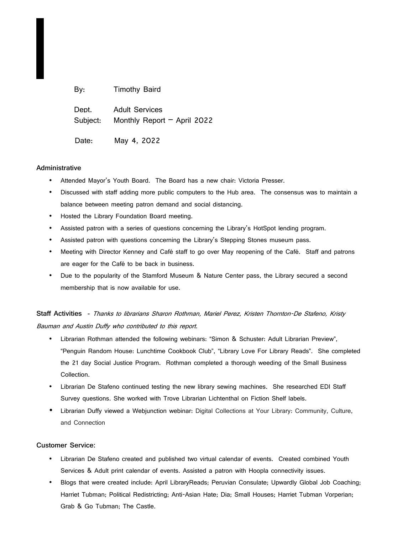| By:               | <b>Timothy Baird</b>                                   |
|-------------------|--------------------------------------------------------|
| Dept.<br>Subject: | <b>Adult Services</b><br>Monthly Report $-$ April 2022 |
| Date:             | May 4, 2022                                            |

## **Administrative**

- Attended Mayor's Youth Board. The Board has a new chair: Victoria Presser.
- Discussed with staff adding more public computers to the Hub area. The consensus was to maintain a balance between meeting patron demand and social distancing.
- Hosted the Library Foundation Board meeting.
- Assisted patron with a series of questions concerning the Library's HotSpot lending program.
- Assisted patron with questions concerning the Library's Stepping Stones museum pass.
- Meeting with Director Kenney and Café staff to go over May reopening of the Café. Staff and patrons are eager for the Café to be back in business.
- Due to the popularity of the Stamford Museum & Nature Center pass, the Library secured a second membership that is now available for use.

**Staff Activities -** Thanks to librarians Sharon Rothman, Mariel Perez, Kristen Thornton-De Stafeno, Kristy Bauman and Austin Duffy who contributed to this report.

- Librarian Rothman attended the following webinars: "Simon & Schuster: Adult Librarian Preview", "Penguin Random House: Lunchtime Cookbook Club", "Library Love For Library Reads". She completed the 21 day Social Justice Program. Rothman completed a thorough weeding of the Small Business Collection.
- Librarian De Stafeno continued testing the new library sewing machines. She researched EDI Staff Survey questions. She worked with Trove Librarian Lichtenthal on Fiction Shelf labels.
- Librarian Duffy viewed a Webjunction webinar: Digital Collections at Your Library: Community, Culture, and Connection

## **Customer Service:**

- Librarian De Stafeno created and published two virtual calendar of events. Created combined Youth Services & Adult print calendar of events. Assisted a patron with Hoopla connectivity issues.
- Blogs that were created include: April LibraryReads; Peruvian Consulate; Upwardly Global Job Coaching; Harriet Tubman; Political Redistricting; Anti-Asian Hate; Dia; Small Houses; Harriet Tubman Vorperian; Grab & Go Tubman; The Castle.